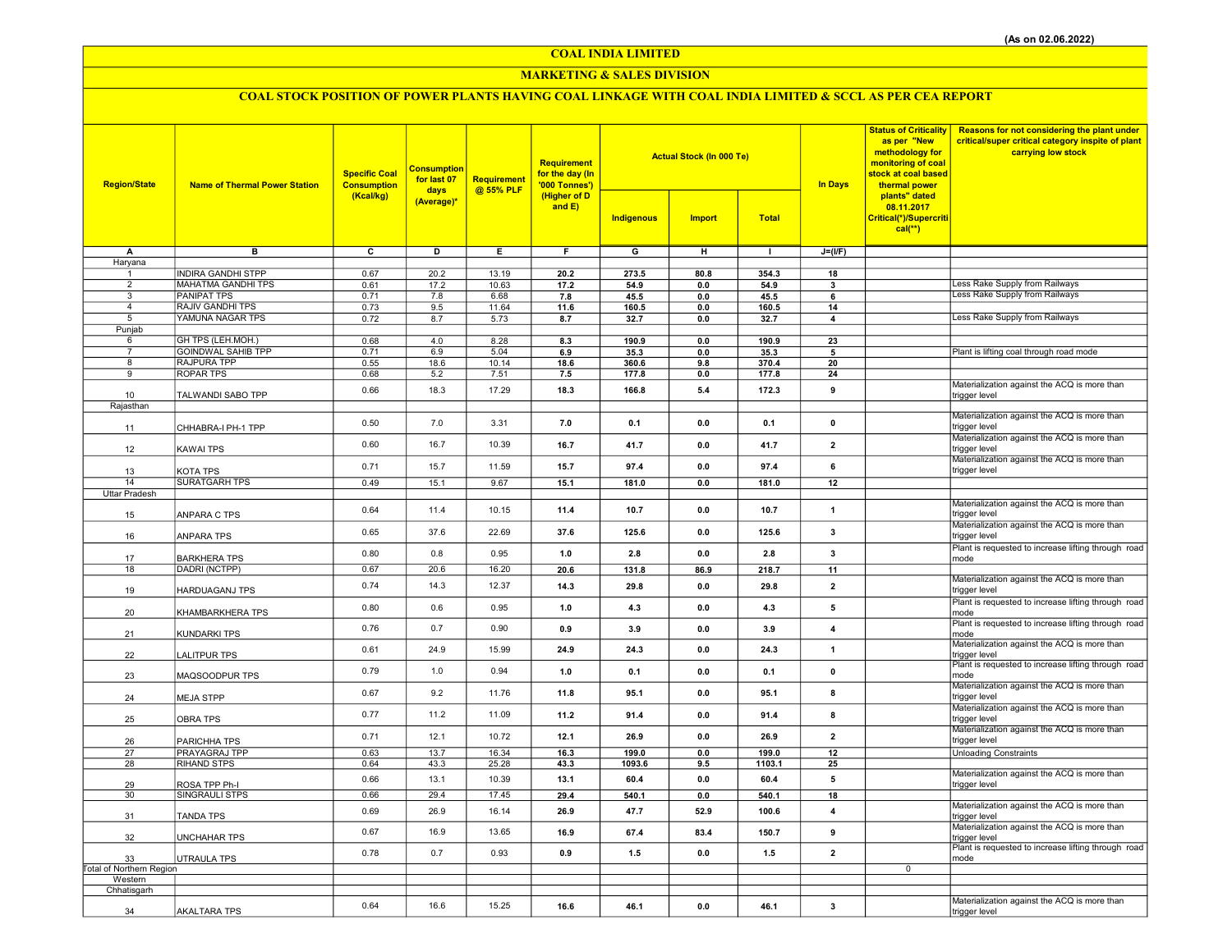COAL INDIA LIMITED

### MARKETING & SALES DIVISION

# COAL STOCK POSITION OF POWER PLANTS HAVING COAL LINKAGE WITH COAL INDIA LIMITED & SCCL AS PER CEA REPORT

| <b>Region/State</b>            | <b>Name of Thermal Power Station</b> | <b>Specific Coal</b><br><b>Consumption</b><br>(Kcal/kg) | <b>Consumption</b><br>for last 07<br>days | Requirement<br>@ 55% PLF | Requirement<br>for the day (In<br>'000 Tonnes')<br>(Higher of D<br>and $E$ ) |                         | <b>Actual Stock (In 000 Te)</b> |                 | <b>In Days</b>          | <b>Status of Criticality</b><br>as per "New<br>methodology for<br>monitoring of coal<br>stock at coal based<br>thermal power | <b>Reasons for not considering the plant under</b><br>critical/super critical category inspite of plant<br>carrying low stock |
|--------------------------------|--------------------------------------|---------------------------------------------------------|-------------------------------------------|--------------------------|------------------------------------------------------------------------------|-------------------------|---------------------------------|-----------------|-------------------------|------------------------------------------------------------------------------------------------------------------------------|-------------------------------------------------------------------------------------------------------------------------------|
|                                |                                      |                                                         | (Average)*                                |                          |                                                                              | Indigenous              | <b>Import</b>                   | <b>Total</b>    |                         | plants" dated<br>08.11.2017<br>Critical(*)/Supercriti<br>$cal(**)$                                                           |                                                                                                                               |
| A                              | $\overline{B}$                       | $\overline{\mathbf{c}}$                                 | ъ                                         | Έ                        | F                                                                            | $\overline{\mathsf{G}}$ | $\overline{H}$                  | $\mathbf{L}$    | $J=(I/F)$               |                                                                                                                              |                                                                                                                               |
| Haryana                        | <b>INDIRA GANDHI STPP</b>            |                                                         |                                           |                          |                                                                              |                         |                                 |                 |                         |                                                                                                                              |                                                                                                                               |
| $\mathbf{1}$<br>$\overline{2}$ | MAHATMA GANDHI TPS                   | 0.67<br>0.61                                            | 20.2<br>17.2                              | 13.19<br>10.63           | 20.2<br>17.2                                                                 | 273.5<br>54.9           | 80.8<br>0.0                     | 354.3<br>54.9   | 18<br>3                 |                                                                                                                              | ess Rake Supply from Railways                                                                                                 |
| 3                              | <b>PANIPAT TPS</b>                   | 0.71                                                    | 7.8                                       | 6.68                     | 7.8                                                                          | 45.5                    | 0.0                             | 45.5            | 6                       |                                                                                                                              | Less Rake Supply from Railways                                                                                                |
| $\overline{4}$                 | <b>RAJIV GANDHI TPS</b>              | 0.73                                                    | 9.5                                       | 11.64                    | 11.6                                                                         | 160.5                   | $0.0\,$                         | 160.5           | 14                      |                                                                                                                              |                                                                                                                               |
| 5                              | YAMUNA NAGAR TPS                     | 0.72                                                    | 8.7                                       | 5.73                     | 8.7                                                                          | 32.7                    | 0.0                             | 32.7            | 4                       |                                                                                                                              | Less Rake Supply from Railways                                                                                                |
| Punjab<br>6                    | GH TPS (LEH.MOH.)                    | 0.68                                                    | 4.0                                       | 8.28                     | 8.3                                                                          | 190.9                   | 0.0                             | 190.9           | 23                      |                                                                                                                              |                                                                                                                               |
| $\overline{7}$                 | <b>GOINDWAL SAHIB TPP</b>            | 0.71                                                    | 6.9                                       | 5.04                     | 6.9                                                                          | 35.3                    | 0.0                             | 35.3            | 5                       |                                                                                                                              | Plant is lifting coal through road mode                                                                                       |
| 8                              | <b>RAJPURA TPP</b>                   | 0.55                                                    | 18.6                                      | 10.14                    | 18.6                                                                         | 360.6                   | 9.8                             | 370.4           | 20                      |                                                                                                                              |                                                                                                                               |
| 9                              | <b>ROPAR TPS</b>                     | 0.68                                                    | 5.2                                       | 7.51                     | 7.5                                                                          | 177.8                   | 0.0                             | 177.8           | 24                      |                                                                                                                              |                                                                                                                               |
| 10                             | TALWANDI SABO TPP                    | 0.66                                                    | 18.3                                      | 17.29                    | 18.3                                                                         | 166.8                   | 5.4                             | 172.3           | 9                       |                                                                                                                              | Materialization against the ACQ is more than<br>trigger level                                                                 |
| Rajasthan                      |                                      |                                                         |                                           |                          |                                                                              |                         |                                 |                 |                         |                                                                                                                              |                                                                                                                               |
|                                |                                      | 0.50                                                    | 7.0                                       | 3.31                     | 7.0                                                                          | 0.1                     | 0.0                             | 0.1             | $\pmb{0}$               |                                                                                                                              | Materialization against the ACQ is more than                                                                                  |
| 11                             | CHHABRA-I PH-1 TPP                   |                                                         |                                           |                          |                                                                              |                         |                                 |                 |                         |                                                                                                                              | trigger level                                                                                                                 |
| 12                             | KAWAI TPS                            | 0.60                                                    | 16.7                                      | 10.39                    | 16.7                                                                         | 41.7                    | 0.0                             | 41.7            | $\overline{2}$          |                                                                                                                              | Materialization against the ACQ is more than<br>trigger level                                                                 |
|                                |                                      | 0.71                                                    | 15.7                                      | 11.59                    | 15.7                                                                         | 97.4                    | 0.0                             | 97.4            | 6                       |                                                                                                                              | Materialization against the ACQ is more than                                                                                  |
| 13                             | KOTA TPS                             |                                                         |                                           |                          |                                                                              |                         |                                 |                 |                         |                                                                                                                              | trigger level                                                                                                                 |
| 14<br>Uttar Pradesh            | <b>SURATGARH TPS</b>                 | 0.49                                                    | 15.1                                      | 9.67                     | 15.1                                                                         | 181.0                   | 0.0                             | 181.0           | 12                      |                                                                                                                              |                                                                                                                               |
|                                |                                      |                                                         |                                           |                          |                                                                              |                         |                                 |                 |                         |                                                                                                                              | Materialization against the ACQ is more than                                                                                  |
| 15                             | ANPARA C TPS                         | 0.64                                                    | 11.4                                      | 10.15                    | 11.4                                                                         | 10.7                    | 0.0                             | 10.7            | $\mathbf{1}$            |                                                                                                                              | trigger level                                                                                                                 |
|                                |                                      | 0.65                                                    | 37.6                                      | 22.69                    | 37.6                                                                         | 125.6                   | 0.0                             | 125.6           | 3                       |                                                                                                                              | Materialization against the ACQ is more than<br>trigger level                                                                 |
| 16                             | ANPARA TPS                           |                                                         |                                           |                          |                                                                              |                         |                                 |                 |                         |                                                                                                                              | Plant is requested to increase lifting through road                                                                           |
| 17                             | <b>BARKHERA TPS</b>                  | 0.80                                                    | 0.8                                       | 0.95                     | 1.0                                                                          | 2.8                     | 0.0                             | 2.8             | $\mathbf{3}$            |                                                                                                                              | mode                                                                                                                          |
| 18                             | DADRI (NCTPP)                        | 0.67                                                    | 20.6                                      | 16.20                    | 20.6                                                                         | 131.8                   | 86.9                            | 218.7           | 11                      |                                                                                                                              |                                                                                                                               |
| 19                             | HARDUAGANJ TPS                       | 0.74                                                    | 14.3                                      | 12.37                    | 14.3                                                                         | 29.8                    | 0.0                             | 29.8            | $\overline{2}$          |                                                                                                                              | Materialization against the ACQ is more than<br>trigger level                                                                 |
|                                |                                      |                                                         |                                           |                          |                                                                              |                         |                                 |                 |                         |                                                                                                                              | Plant is requested to increase lifting through road                                                                           |
| 20                             | KHAMBARKHERA TPS                     | 0.80                                                    | 0.6                                       | 0.95                     | 1.0                                                                          | 4.3                     | 0.0                             | 4.3             | 5                       |                                                                                                                              | mode                                                                                                                          |
| 21                             | KUNDARKI TPS                         | 0.76                                                    | 0.7                                       | 0.90                     | 0.9                                                                          | 3.9                     | 0.0                             | 3.9             | $\overline{4}$          |                                                                                                                              | Plant is requested to increase lifting through road<br>mode                                                                   |
|                                |                                      | 0.61                                                    | 24.9                                      | 15.99                    | 24.9                                                                         | 24.3                    | 0.0                             | 24.3            | $\mathbf{1}$            |                                                                                                                              | Materialization against the ACQ is more than                                                                                  |
| 22                             | LALITPUR TPS                         |                                                         |                                           |                          |                                                                              |                         |                                 |                 |                         |                                                                                                                              | trigger level<br>Plant is requested to increase lifting through road                                                          |
| 23                             | MAQSOODPUR TPS                       | 0.79                                                    | 1.0                                       | 0.94                     | 1.0                                                                          | 0.1                     | 0.0                             | 0.1             | $\mathbf 0$             |                                                                                                                              | mode                                                                                                                          |
|                                |                                      | 0.67                                                    | 9.2                                       | 11.76                    | 11.8                                                                         | 95.1                    | 0.0                             | 95.1            | 8                       |                                                                                                                              | Materialization against the ACQ is more than                                                                                  |
| 24                             | <b>MEJA STPP</b>                     |                                                         |                                           |                          |                                                                              |                         |                                 |                 |                         |                                                                                                                              | trigger level<br>Materialization against the ACQ is more than                                                                 |
| 25                             | <b>OBRA TPS</b>                      | 0.77                                                    | 11.2                                      | 11.09                    | 11.2                                                                         | 91.4                    | 0.0                             | 91.4            | 8                       |                                                                                                                              | trigger level                                                                                                                 |
|                                |                                      | 0.71                                                    | 12.1                                      | 10.72                    | 12.1                                                                         | 26.9                    | 0.0                             | 26.9            | $\overline{\mathbf{2}}$ |                                                                                                                              | Materialization against the ACQ is more than                                                                                  |
| 26                             | PARICHHA TPS                         |                                                         |                                           |                          |                                                                              |                         |                                 |                 |                         |                                                                                                                              | trigger level                                                                                                                 |
| 27<br>28                       | PRAYAGRAJ TPP<br><b>RIHAND STPS</b>  | 0.63<br>0.64                                            | 13.7<br>43.3                              | 16.34<br>25.28           | 16.3<br>43.3                                                                 | 199.0<br>1093.6         | 0.0<br>9.5                      | 199.0<br>1103.1 | 12<br>25                |                                                                                                                              | <b>Unloading Constraints</b>                                                                                                  |
|                                |                                      |                                                         | 13.1                                      | 10.39                    |                                                                              |                         |                                 |                 |                         |                                                                                                                              | Materialization against the ACQ is more than                                                                                  |
| 29                             | ROSA TPP Ph-I                        | 0.66                                                    |                                           |                          | 13.1                                                                         | 60.4                    | 0.0                             | 60.4            | 5                       |                                                                                                                              | trigger level                                                                                                                 |
| 30                             | SINGRAULI STPS                       | 0.66                                                    | 29.4                                      | 17.45                    | 29.4                                                                         | 540.1                   | 0.0                             | 540.1           | 18                      |                                                                                                                              | Materialization against the ACQ is more than                                                                                  |
| 31                             | TANDA TPS                            | 0.69                                                    | 26.9                                      | 16.14                    | 26.9                                                                         | 47.7                    | 52.9                            | 100.6           | $\overline{\mathbf{4}}$ |                                                                                                                              | trigger level                                                                                                                 |
|                                |                                      | 0.67                                                    | 16.9                                      | 13.65                    | 16.9                                                                         | 67.4                    | 83.4                            | 150.7           | 9                       |                                                                                                                              | Materialization against the ACQ is more than                                                                                  |
| 32                             | <b>UNCHAHAR TPS</b>                  |                                                         |                                           |                          |                                                                              |                         |                                 |                 |                         |                                                                                                                              | trigger level<br>Plant is requested to increase lifting through road                                                          |
| 33                             | UTRAULA TPS                          | 0.78                                                    | 0.7                                       | 0.93                     | 0.9                                                                          | 1.5                     | 0.0                             | 1.5             | $\overline{2}$          |                                                                                                                              | mode                                                                                                                          |
| Total of Northern Region       |                                      |                                                         |                                           |                          |                                                                              |                         |                                 |                 |                         | $\mathbf 0$                                                                                                                  |                                                                                                                               |
| Western<br>Chhatisgarh         |                                      |                                                         |                                           |                          |                                                                              |                         |                                 |                 |                         |                                                                                                                              |                                                                                                                               |
|                                |                                      |                                                         |                                           |                          |                                                                              |                         |                                 |                 |                         |                                                                                                                              | Materialization against the ACQ is more than                                                                                  |
| 34                             | <b>AKALTARA TPS</b>                  | 0.64                                                    | 16.6                                      | 15.25                    | 16.6                                                                         | 46.1                    | 0.0                             | 46.1            | 3                       |                                                                                                                              | trigger level                                                                                                                 |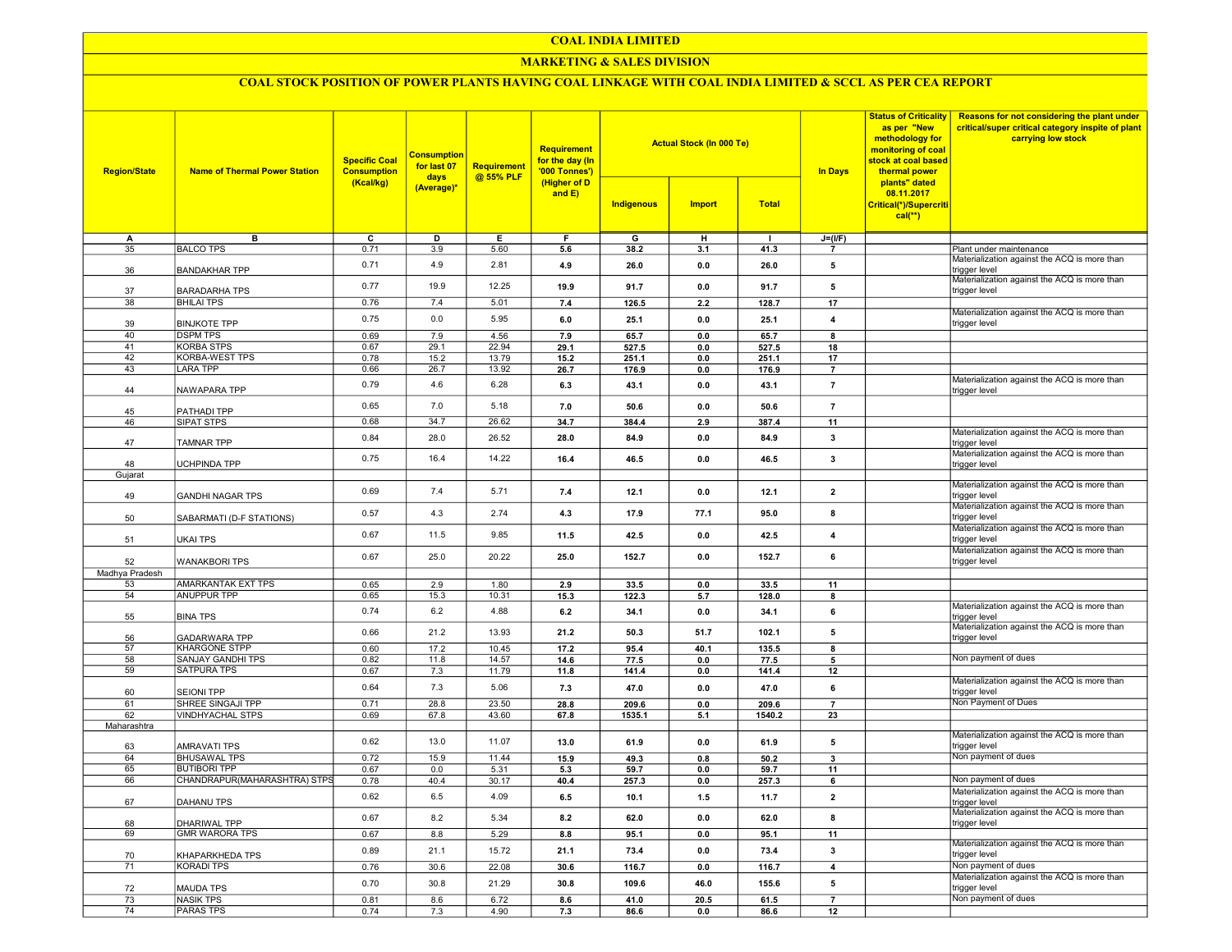### COAL INDIA LIMITED

### MARKETING & SALES DIVISION

## COAL STOCK POSITION OF POWER PLANTS HAVING COAL LINKAGE WITH COAL INDIA LIMITED & SCCL AS PER CEA REPORT

| <b>Region/State</b>   | <b>Name of Thermal Power Station</b>         | <b>Specific Coal</b><br><b>Consumption</b><br>(Kcal/kg) | <b>Consumption</b><br>for last 07<br>days<br>(Average)* | Requirement<br>@ 55% PLF | Requirement<br>for the day (In<br>'000 Tonnes')<br>(Higher of D<br>and $E$ ) |               | <b>Actual Stock (In 000 Te)</b> |               | as per "New<br><b>In Days</b><br>thermal power | <b>Status of Criticality</b><br>methodology for<br>monitoring of coal<br>stock at coal based | Reasons for not considering the plant under<br>critical/super critical category inspite of plant<br>carrying low stock |
|-----------------------|----------------------------------------------|---------------------------------------------------------|---------------------------------------------------------|--------------------------|------------------------------------------------------------------------------|---------------|---------------------------------|---------------|------------------------------------------------|----------------------------------------------------------------------------------------------|------------------------------------------------------------------------------------------------------------------------|
|                       |                                              |                                                         |                                                         |                          |                                                                              | Indigenous    | <b>Import</b>                   | <b>Total</b>  |                                                | plants" dated<br>08.11.2017<br>Critical(*)/Supercriti<br>$cal(**)$                           |                                                                                                                        |
| А                     | в                                            | $\overline{c}$                                          | D                                                       | E                        | F                                                                            | G             | н                               |               | $J=(I/F)$                                      |                                                                                              |                                                                                                                        |
| 35                    | <b>BALCO TPS</b>                             | 0.71                                                    | 3.9                                                     | 5.60                     | 5.6                                                                          | 38.2          | 3.1                             | 41.3          | $\overline{7}$                                 |                                                                                              | Plant under maintenance                                                                                                |
| 36                    | <b>BANDAKHAR TPP</b>                         | 0.71                                                    | 4.9                                                     | 2.81                     | 4.9                                                                          | 26.0          | 0.0                             | 26.0          | 5                                              |                                                                                              | Materialization against the ACQ is more than<br>trigger level                                                          |
| 37                    | <b>BARADARHA TPS</b>                         | 0.77                                                    | 19.9                                                    | 12.25                    | 19.9                                                                         | 91.7          | 0.0                             | 91.7          | 5                                              |                                                                                              | Materialization against the ACQ is more than<br>trigger level                                                          |
| 38                    | <b>BHILAI TPS</b>                            | 0.76                                                    | 7.4                                                     | 5.01                     | 7.4                                                                          | 126.5         | 2.2                             | 128.7         | $\overline{17}$                                |                                                                                              | Materialization against the ACQ is more than                                                                           |
| 39                    | <b>BINJKOTE TPP</b>                          | 0.75                                                    | 0.0                                                     | 5.95                     | 6.0                                                                          | 25.1          | 0.0                             | 25.1          | $\overline{4}$                                 |                                                                                              | trigger level                                                                                                          |
| 40<br>41              | <b>DSPM TPS</b><br><b>KORBA STPS</b>         | 0.69<br>0.67                                            | 7.9<br>29.1                                             | 4.56<br>22.94            | 7.9<br>29.1                                                                  | 65.7<br>527.5 | 0.0<br>0.0                      | 65.7<br>527.5 | 8<br>18                                        |                                                                                              |                                                                                                                        |
| $\overline{42}$       | <b>KORBA-WEST TPS</b>                        | 0.78                                                    | 15.2                                                    | 13.79                    | 15.2                                                                         | 251.1         | 0.0                             | 251.1         | 17                                             |                                                                                              |                                                                                                                        |
| 43                    | <b>LARA TPP</b>                              | 0.66                                                    | 26.7                                                    | 13.92                    | 26.7                                                                         | 176.9         | 0.0                             | 176.9         | $\overline{7}$                                 |                                                                                              |                                                                                                                        |
| 44                    | NAWAPARA TPP                                 | 0.79                                                    | 4.6                                                     | 6.28                     | 6.3                                                                          | 43.1          | 0.0                             | 43.1          | $\overline{7}$                                 |                                                                                              | Materialization against the ACQ is more than<br>trigger level                                                          |
| 45                    | PATHADI TPP                                  | 0.65                                                    | 7.0                                                     | 5.18                     | 7.0                                                                          | 50.6          | 0.0                             | 50.6          | $\overline{7}$                                 |                                                                                              |                                                                                                                        |
| 46                    | SIPAT STPS                                   | 0.68                                                    | 34.7                                                    | 26.62                    | 34.7                                                                         | 384.4         | 2.9                             | 387.4         | 11                                             |                                                                                              |                                                                                                                        |
| 47                    | <b>TAMNAR TPP</b>                            | 0.84                                                    | 28.0                                                    | 26.52                    | 28.0                                                                         | 84.9          | 0.0                             | 84.9          | $\mathbf{3}$                                   |                                                                                              | Materialization against the ACQ is more than<br>trigger level                                                          |
|                       |                                              | 0.75                                                    | 16.4                                                    | 14.22                    | 16.4                                                                         | 46.5          | 0.0                             | 46.5          | $\mathbf 3$                                    |                                                                                              | Materialization against the ACQ is more than                                                                           |
| 48                    | UCHPINDA TPP                                 |                                                         |                                                         |                          |                                                                              |               |                                 |               |                                                |                                                                                              | trigger level                                                                                                          |
| Gujarat               |                                              |                                                         |                                                         |                          |                                                                              |               |                                 |               |                                                |                                                                                              | Materialization against the ACQ is more than                                                                           |
| 49                    | <b>GANDHI NAGAR TPS</b>                      | 0.69                                                    | 7.4                                                     | 5.71                     | 7.4                                                                          | 12.1          | 0.0                             | 12.1          | $\overline{\mathbf{2}}$                        |                                                                                              | rigger level<br>Materialization against the ACQ is more than                                                           |
| 50                    | SABARMATI (D-F STATIONS)                     | 0.57                                                    | 4.3                                                     | 2.74                     | 4.3                                                                          | 17.9          | 77.1                            | 95.0          | 8                                              |                                                                                              | trigger level                                                                                                          |
| 51                    | <b>UKAI TPS</b>                              | 0.67                                                    | 11.5                                                    | 9.85                     | 11.5                                                                         | 42.5          | 0.0                             | 42.5          | $\overline{\mathbf{4}}$                        |                                                                                              | Materialization against the ACQ is more than<br>trigger level                                                          |
| 52                    | <b>WANAKBORI TPS</b>                         | 0.67                                                    | 25.0                                                    | 20.22                    | 25.0                                                                         | 152.7         | 0.0                             | 152.7         | 6                                              |                                                                                              | Materialization against the ACQ is more than<br>trigger level                                                          |
| Madhya Pradesh        |                                              |                                                         |                                                         |                          |                                                                              |               |                                 |               |                                                |                                                                                              |                                                                                                                        |
| 53<br>54              | AMARKANTAK EXT TPS                           | 0.65<br>0.65                                            | 2.9<br>15.3                                             | 1.80<br>10.31            | 2.9                                                                          | 33.5          | 0.0                             | 33.5          | 11                                             |                                                                                              |                                                                                                                        |
|                       | <b>ANUPPUR TPP</b>                           | 0.74                                                    | 6.2                                                     | 4.88                     | 15.3<br>6.2                                                                  | 122.3<br>34.1 | 5.7<br>0.0                      | 128.0<br>34.1 | 8<br>6                                         |                                                                                              | Materialization against the ACQ is more than                                                                           |
| 55                    | <b>BINA TPS</b>                              | 0.66                                                    | 21.2                                                    | 13.93                    | 21.2                                                                         | 50.3          | 51.7                            | 102.1         | 5                                              |                                                                                              | trigger level<br>Materialization against the ACQ is more than                                                          |
| 56<br>$\overline{57}$ | <b>GADARWARA TPP</b><br><b>KHARGONE STPP</b> | 0.60                                                    | 17.2                                                    | 10.45                    | 17.2                                                                         | 95.4          | 40.1                            | 135.5         | 8                                              |                                                                                              | trigger level                                                                                                          |
| 58                    | <b>SANJAY GANDHI TPS</b>                     | 0.82                                                    | 11.8                                                    | 14.57                    | 14.6                                                                         | 77.5          | 0.0                             | 77.5          | 5                                              |                                                                                              | Non payment of dues                                                                                                    |
| 59                    | <b>SATPURA TPS</b>                           | 0.67                                                    | 7.3                                                     | 11.79                    | 11.8                                                                         | 141.4         | 0.0                             | 141.4         | 12                                             |                                                                                              |                                                                                                                        |
| 60                    | <b>SEIONI TPP</b>                            | 0.64                                                    | 7.3                                                     | 5.06                     | 7.3                                                                          | 47.0          | 0.0                             | 47.0          | 6                                              |                                                                                              | Materialization against the ACQ is more than<br>trigger level                                                          |
| 61                    | SHREE SINGAJI TPP                            | 0.71                                                    | 28.8                                                    | 23.50                    | 28.8                                                                         | 209.6         | 0.0                             | 209.6         | $\overline{7}$                                 |                                                                                              | Non Payment of Dues                                                                                                    |
| 62                    | <b>VINDHYACHAL STPS</b>                      | 0.69                                                    | 67.8                                                    | 43.60                    | 67.8                                                                         | 1535.1        | 5.1                             | 1540.2        | 23                                             |                                                                                              |                                                                                                                        |
| Maharashtra           |                                              |                                                         |                                                         |                          |                                                                              |               |                                 |               |                                                |                                                                                              |                                                                                                                        |
| 63                    | AMRAVATI TPS                                 | 0.62                                                    | 13.0                                                    | 11.07                    | 13.0                                                                         | 61.9          | 0.0                             | 61.9          | 5                                              |                                                                                              | Materialization against the ACQ is more than<br>trigger level                                                          |
| 64                    | <b>BHUSAWAL TPS</b>                          | 0.72                                                    | 15.9                                                    | 11.44                    | 15.9                                                                         | 49.3          | 0.8                             | 50.2          | $\mathbf{3}$                                   |                                                                                              | Non payment of dues                                                                                                    |
| 65                    | <b>BUTIBORI TPP</b>                          | 0.67                                                    | 0.0                                                     | 5.31                     | 5.3                                                                          | 59.7          | 0.0                             | 59.7          | 11                                             |                                                                                              |                                                                                                                        |
| 66                    | CHANDRAPUR(MAHARASHTRA) STPS                 | 0.78                                                    | 40.4                                                    | 30.17                    | 40.4                                                                         | 257.3         | 0.0                             | 257.3         | 6                                              |                                                                                              | Non payment of dues                                                                                                    |
| 67                    | DAHANU TPS                                   | 0.62                                                    | 6.5                                                     | 4.09                     | 6.5                                                                          | 10.1          | 1.5                             | 11.7          | $\mathbf 2$                                    |                                                                                              | Materialization against the ACQ is more than<br>trigger level                                                          |
| 68                    | <b>DHARIWAL TPP</b>                          | 0.67                                                    | 8.2                                                     | 5.34                     | 8.2                                                                          | 62.0          | 0.0                             | 62.0          | 8                                              |                                                                                              | Materialization against the ACQ is more than<br>trigger level                                                          |
| 69                    | <b>GMR WARORA TPS</b>                        | 0.67                                                    | 8.8                                                     | 5.29                     | 8.8                                                                          | 95.1          | 0.0                             | 95.1          | 11                                             |                                                                                              | Materialization against the ACQ is more than                                                                           |
| 70                    | KHAPARKHEDA TPS                              | 0.89                                                    | 21.1                                                    | 15.72                    | 21.1                                                                         | 73.4          | 0.0                             | 73.4          | 3                                              |                                                                                              | trigger level                                                                                                          |
| $\overline{71}$       | <b>KORADI TPS</b>                            | 0.76                                                    | 30.6                                                    | 22.08                    | 30.6                                                                         | 116.7         | 0.0                             | 116.7         | $\overline{4}$                                 |                                                                                              | Non payment of dues<br>Materialization against the ACQ is more than                                                    |
| 72                    | <b>MAUDA TPS</b>                             | 0.70                                                    | 30.8                                                    | 21.29                    | 30.8                                                                         | 109.6         | 46.0                            | 155.6         | ${\bf 5}$                                      |                                                                                              | trigger level                                                                                                          |
| $\overline{73}$       | <b>NASIK TPS</b>                             | 0.81                                                    | 8.6                                                     | 6.72                     | 8.6                                                                          | 41.0          | 20.5                            | 61.5          | $\overline{7}$                                 |                                                                                              | Non payment of dues                                                                                                    |
| $\overline{74}$       | <b>PARAS TPS</b>                             | 0.74                                                    | 7.3                                                     | 4.90                     | 7.3                                                                          | 86.6          | 0.0                             | 86.6          | 12                                             |                                                                                              |                                                                                                                        |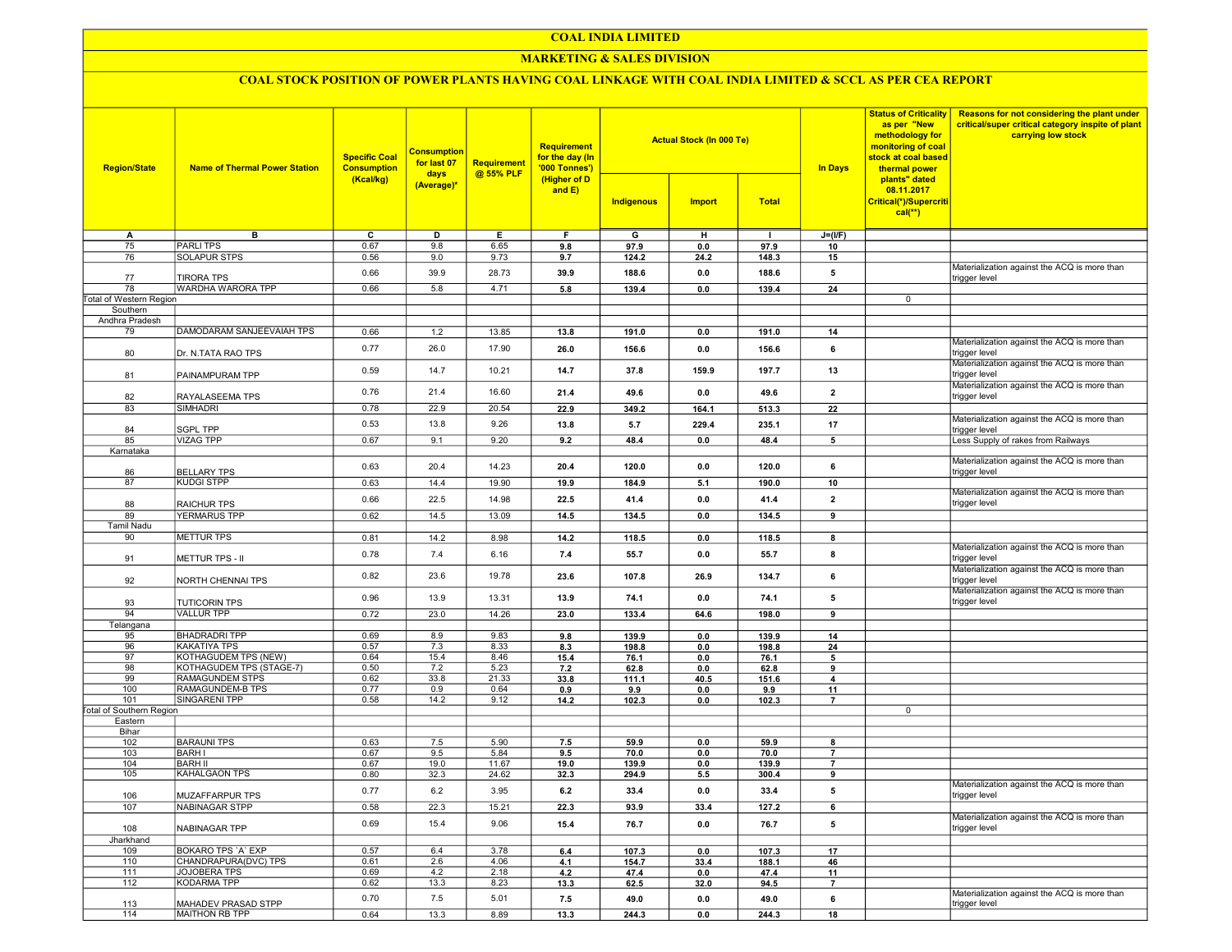### COAL INDIA LIMITED

### **MARKETING & SALES DIVISION**

# COAL STOCK POSITION OF POWER PLANTS HAVING COAL LINKAGE WITH COAL INDIA LIMITED & SCCL AS PER CEA REPORT

| <b>Region/State</b>             | <b>Name of Thermal Power Station</b>   | <b>Specific Coal</b><br><b>Consumption</b><br>(Kcal/kg) | <b>Consumption</b><br>for last 07<br>days<br>(Average)* | <b>Requirement</b><br>@ 55% PLF | <b>Requirement</b><br>for the day (In<br>'000 Tonnes')<br>(Higher of D<br>and $E$ ) | Indigenous    | <b>Actual Stock (In 000 Te)</b><br><b>Import</b> | <b>Total</b>  | <b>In Days</b>  | <b>Status of Criticality</b><br>as per "New<br>methodology for<br>monitoring of coal<br>stock at coal based<br>thermal power<br>plants" dated<br>08.11.2017<br>Critical(*)/Supercriti | Reasons for not considering the plant under<br>critical/super critical category inspite of plant<br>carrying low stock |
|---------------------------------|----------------------------------------|---------------------------------------------------------|---------------------------------------------------------|---------------------------------|-------------------------------------------------------------------------------------|---------------|--------------------------------------------------|---------------|-----------------|---------------------------------------------------------------------------------------------------------------------------------------------------------------------------------------|------------------------------------------------------------------------------------------------------------------------|
|                                 |                                        |                                                         |                                                         |                                 |                                                                                     |               |                                                  |               |                 | $cal(**)$                                                                                                                                                                             |                                                                                                                        |
|                                 | в                                      | C                                                       | D                                                       | Е.                              | F.                                                                                  | G             |                                                  | $\mathbf{I}$  |                 |                                                                                                                                                                                       |                                                                                                                        |
| A<br>75                         | <b>PARLITPS</b>                        | 0.67                                                    | 9.8                                                     | 6.65                            | 9.8                                                                                 | 97.9          | н<br>0.0                                         | 97.9          | $J=(I/F)$<br>10 |                                                                                                                                                                                       |                                                                                                                        |
| 76                              | <b>SOLAPUR STPS</b>                    | 0.56                                                    | 9.0                                                     | 9.73                            | 9.7                                                                                 | 124.2         | 24.2                                             | 148.3         | 15              |                                                                                                                                                                                       |                                                                                                                        |
|                                 |                                        | 0.66                                                    | 39.9                                                    | 28.73                           | 39.9                                                                                | 188.6         | 0.0                                              | 188.6         | 5               |                                                                                                                                                                                       | Materialization against the ACQ is more than                                                                           |
| 77<br>78                        | <b>TIRORA TPS</b><br>WARDHA WARORA TPP | 0.66                                                    | 5.8                                                     | 4.71                            | 5.8                                                                                 | 139.4         | 0.0                                              | 139.4         | 24              |                                                                                                                                                                                       | trigger level                                                                                                          |
| Total of Western Region         |                                        |                                                         |                                                         |                                 |                                                                                     |               |                                                  |               |                 | 0                                                                                                                                                                                     |                                                                                                                        |
| Southern                        |                                        |                                                         |                                                         |                                 |                                                                                     |               |                                                  |               |                 |                                                                                                                                                                                       |                                                                                                                        |
| Andhra Pradesh                  |                                        |                                                         |                                                         |                                 |                                                                                     |               |                                                  |               |                 |                                                                                                                                                                                       |                                                                                                                        |
| 79                              | DAMODARAM SANJEEVAIAH TPS              | 0.66                                                    | $1.2$                                                   | 13.85                           | 13.8                                                                                | 191.0         | 0.0                                              | 191.0         | 14              |                                                                                                                                                                                       |                                                                                                                        |
| 80                              | Dr. N.TATA RAO TPS                     | 0.77                                                    | 26.0                                                    | 17.90                           | 26.0                                                                                | 156.6         | 0.0                                              | 156.6         | 6               |                                                                                                                                                                                       | Materialization against the ACQ is more than<br>trigger level                                                          |
|                                 |                                        | 0.59                                                    | 14.7                                                    | 10.21                           | 14.7                                                                                | 37.8          | 159.9                                            | 197.7         | 13              |                                                                                                                                                                                       | Materialization against the ACQ is more than                                                                           |
| 81                              | PAINAMPURAM TPP                        | 0.76                                                    | 21.4                                                    | 16.60                           |                                                                                     |               | 0.0                                              |               | $\overline{2}$  |                                                                                                                                                                                       | trigger level<br>Materialization against the ACQ is more than                                                          |
| 82<br>83                        | RAYALASEEMA TPS<br><b>SIMHADRI</b>     | 0.78                                                    | 22.9                                                    | 20.54                           | 21.4<br>22.9                                                                        | 49.6<br>349.2 | 164.1                                            | 49.6<br>513.3 | 22              |                                                                                                                                                                                       | trigger level                                                                                                          |
|                                 |                                        |                                                         |                                                         |                                 |                                                                                     |               |                                                  |               |                 |                                                                                                                                                                                       | Materialization against the ACQ is more than                                                                           |
| 84                              | <b>SGPL TPP</b>                        | 0.53                                                    | 13.8                                                    | 9.26                            | 13.8                                                                                | 5.7           | 229.4                                            | 235.1         | 17              |                                                                                                                                                                                       | trigger level                                                                                                          |
| 85                              | <b>VIZAG TPP</b>                       | 0.67                                                    | 9.1                                                     | 9.20                            | 9.2                                                                                 | 48.4          | 0.0                                              | 48.4          | 5               |                                                                                                                                                                                       | Less Supply of rakes from Railways                                                                                     |
| Karnataka                       |                                        |                                                         |                                                         |                                 |                                                                                     |               |                                                  |               |                 |                                                                                                                                                                                       |                                                                                                                        |
| 86                              | <b>BELLARY TPS</b>                     | 0.63                                                    | 20.4                                                    | 14.23                           | 20.4                                                                                | 120.0         | 0.0                                              | 120.0         | 6               |                                                                                                                                                                                       | Materialization against the ACQ is more than<br>trigger level                                                          |
| 87                              | <b>KUDGI STPP</b>                      | 0.63                                                    | 14.4                                                    | 19.90                           | 19.9                                                                                | 184.9         | 5.1                                              | 190.0         | 10              |                                                                                                                                                                                       |                                                                                                                        |
| 88                              | <b>RAICHUR TPS</b>                     | 0.66                                                    | 22.5                                                    | 14.98                           | 22.5                                                                                | 41.4          | 0.0                                              | 41.4          | $\overline{2}$  |                                                                                                                                                                                       | Materialization against the ACQ is more than<br>trigger level                                                          |
| 89                              | YERMARUS TPP                           | 0.62                                                    | 14.5                                                    | 13.09                           | 14.5                                                                                | 134.5         | 0.0                                              | 134.5         | 9               |                                                                                                                                                                                       |                                                                                                                        |
| Tamil Nadu                      |                                        |                                                         |                                                         |                                 |                                                                                     |               |                                                  |               |                 |                                                                                                                                                                                       |                                                                                                                        |
| 90                              | <b>METTUR TPS</b>                      | 0.81                                                    | 14.2                                                    | 8.98                            | 14.2                                                                                | 118.5         | 0.0                                              | 118.5         | 8               |                                                                                                                                                                                       |                                                                                                                        |
| 91                              | METTUR TPS - II                        | 0.78                                                    | 7.4                                                     | 6.16                            | 7.4                                                                                 | 55.7          | 0.0                                              | 55.7          | 8               |                                                                                                                                                                                       | Materialization against the ACQ is more than<br>trigger level                                                          |
| 92                              | NORTH CHENNAI TPS                      | 0.82                                                    | 23.6                                                    | 19.78                           | 23.6                                                                                | 107.8         | 26.9                                             | 134.7         | 6               |                                                                                                                                                                                       | Materialization against the ACQ is more than<br>trigger level                                                          |
| 93                              | <b>TUTICORIN TPS</b>                   | 0.96                                                    | 13.9                                                    | 13.31                           | 13.9                                                                                | 74.1          | 0.0                                              | 74.1          | 5               |                                                                                                                                                                                       | Materialization against the ACQ is more than<br>trigger level                                                          |
| 94                              | <b>VALLUR TPP</b>                      | 0.72                                                    | 23.0                                                    | 14.26                           | 23.0                                                                                | 133.4         | 64.6                                             | 198.0         | 9               |                                                                                                                                                                                       |                                                                                                                        |
| Telangana                       |                                        |                                                         |                                                         |                                 |                                                                                     |               |                                                  |               |                 |                                                                                                                                                                                       |                                                                                                                        |
| 95                              | <b>BHADRADRI TPP</b>                   | 0.69                                                    | 8.9                                                     | 9.83                            | 9.8                                                                                 | 139.9         | 0.0                                              | 139.9         | 14              |                                                                                                                                                                                       |                                                                                                                        |
| 96                              | <b>KAKATIYA TPS</b>                    | 0.57                                                    | 7.3                                                     | 8.33                            | 8.3                                                                                 | 198.8         | 0.0                                              | 198.8         | 24              |                                                                                                                                                                                       |                                                                                                                        |
| 97                              | KOTHAGUDEM TPS (NEW)                   | 0.64                                                    | 15.4                                                    | 8.46                            | 15.4                                                                                | 76.1          | 0.0                                              | 76.1          | 5               |                                                                                                                                                                                       |                                                                                                                        |
| 98                              | KOTHAGUDEM TPS (STAGE-7)               | 0.50                                                    | 7.2                                                     | 5.23                            | 7.2                                                                                 | 62.8          | 0.0                                              | 62.8          | 9               |                                                                                                                                                                                       |                                                                                                                        |
| 99                              | RAMAGUNDEM STPS                        | 0.62                                                    | 33.8                                                    | 21.33                           | 33.8                                                                                | 111.1         | 40.5                                             | 151.6         | $\overline{4}$  |                                                                                                                                                                                       |                                                                                                                        |
| 100                             | RAMAGUNDEM-B TPS                       | 0.77                                                    | 0.9                                                     | 0.64                            | 0.9                                                                                 | 9.9           | 0.0                                              | 9.9           | 11              |                                                                                                                                                                                       |                                                                                                                        |
| 101                             | SINGARENI TPP                          | 0.58                                                    | 14.2                                                    | 9.12                            | 14.2                                                                                | 102.3         | 0.0                                              | 102.3         | $\overline{7}$  |                                                                                                                                                                                       |                                                                                                                        |
| <b>Total of Southern Region</b> |                                        |                                                         |                                                         |                                 |                                                                                     |               |                                                  |               |                 | 0                                                                                                                                                                                     |                                                                                                                        |
| Eastern                         |                                        |                                                         |                                                         |                                 |                                                                                     |               |                                                  |               |                 |                                                                                                                                                                                       |                                                                                                                        |
| Bihar<br>102                    | <b>BARAUNI TPS</b>                     | 0.63                                                    | 7.5                                                     | 5.90                            | 7.5                                                                                 | 59.9          | 0.0                                              | 59.9          | 8               |                                                                                                                                                                                       |                                                                                                                        |
| 103                             | <b>BARH I</b>                          | 0.67                                                    | 9.5                                                     | 5.84                            | 9.5                                                                                 | 70.0          | 0.0                                              | 70.0          | $\overline{7}$  |                                                                                                                                                                                       |                                                                                                                        |
| 104                             | <b>BARH II</b>                         | 0.67                                                    | 19.0                                                    | 11.67                           | 19.0                                                                                | 139.9         | 0.0                                              | 139.9         | $\overline{7}$  |                                                                                                                                                                                       |                                                                                                                        |
| 105                             | <b>KAHALGAON TPS</b>                   | 0.80                                                    | 32.3                                                    | 24.62                           | 32.3                                                                                | 294.9         | 5.5                                              | 300.4         | 9               |                                                                                                                                                                                       |                                                                                                                        |
| 106                             | MUZAFFARPUR TPS                        | 0.77                                                    | 6.2                                                     | 3.95                            | 6.2                                                                                 | 33.4          | 0.0                                              | 33.4          | 5               |                                                                                                                                                                                       | Materialization against the ACQ is more than<br>trigger level                                                          |
| 107                             | NABINAGAR STPP                         | 0.58                                                    | 22.3                                                    | 15.21                           | 22.3                                                                                | 93.9          | 33.4                                             | 127.2         | 6               |                                                                                                                                                                                       |                                                                                                                        |
| 108                             | NABINAGAR TPP                          | 0.69                                                    | 15.4                                                    | 9.06                            | 15.4                                                                                | 76.7          | 0.0                                              | 76.7          | 5               |                                                                                                                                                                                       | Materialization against the ACQ is more than<br>trigger level                                                          |
| Jharkhand                       |                                        |                                                         |                                                         |                                 |                                                                                     |               |                                                  |               |                 |                                                                                                                                                                                       |                                                                                                                        |
| 109                             | BOKARO TPS 'A' EXP                     | 0.57                                                    | 6.4                                                     | 3.78                            | 6.4                                                                                 | 107.3         | 0.0                                              | 107.3         | 17              |                                                                                                                                                                                       |                                                                                                                        |
| 110                             | CHANDRAPURA(DVC) TPS                   | 0.61                                                    | 2.6                                                     | 4.06                            | 4.1                                                                                 | 154.7         | 33.4                                             | 188.1         | 46              |                                                                                                                                                                                       |                                                                                                                        |
| 111                             | JOJOBERA TPS                           | 0.69                                                    | 4.2                                                     | 2.18                            | 4.2                                                                                 | 47.4          | 0.0                                              | 47.4          | 11              |                                                                                                                                                                                       |                                                                                                                        |
| 112                             | KODARMA TPP                            | 0.62                                                    | 13.3                                                    | 8.23                            | 13.3                                                                                | 62.5          | 32.0                                             | 94.5          | $\overline{7}$  |                                                                                                                                                                                       |                                                                                                                        |
| 113                             | MAHADEV PRASAD STPP                    | 0.70                                                    | 7.5                                                     | 5.01                            | 7.5                                                                                 | 49.0          | 0.0                                              | 49.0          | 6               |                                                                                                                                                                                       | Materialization against the ACQ is more than<br>trigger level                                                          |
| 114                             | MAITHON RB TPP                         | 0.64                                                    | 13.3                                                    | 8.89                            | 13.3                                                                                | 244.3         | 0.0                                              | 244.3         | 18              |                                                                                                                                                                                       |                                                                                                                        |